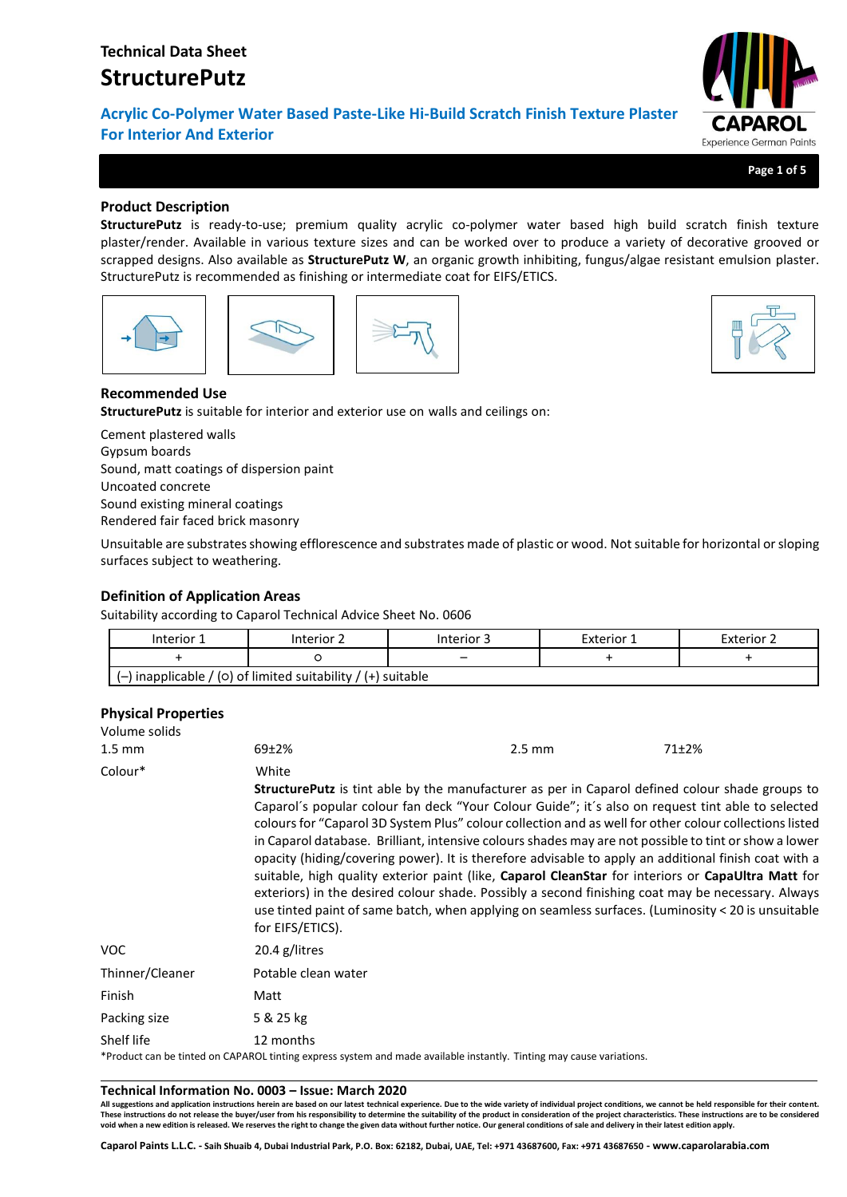**Acrylic Co-Polymer Water Based Paste-Like Hi-Build Scratch Finish Texture Plaster For Interior And Exterior**

**Page 1 of 5**

Experience German Paints

## **Product Description**

**StructurePutz** is ready-to-use; premium quality acrylic co-polymer water based high build scratch finish texture plaster/render. Available in various texture sizes and can be worked over to produce a variety of decorative grooved or scrapped designs. Also available as **StructurePutz W**, an organic growth inhibiting, fungus/algae resistant emulsion plaster. StructurePutz is recommended as finishing or intermediate coat for EIFS/ETICS.





## **Recommended Use**

**StructurePutz** is suitable for interior and exterior use on walls and ceilings on:

Cement plastered walls Gypsum boards Sound, matt coatings of dispersion paint Uncoated concrete Sound existing mineral coatings Rendered fair faced brick masonry

Unsuitable are substrates showing efflorescence and substrates made of plastic or wood. Not suitable for horizontal or sloping surfaces subject to weathering.

## **Definition of Application Areas**

Suitability according to Caparol Technical Advice Sheet No. 0606

| Interior 1 | Interior 2                                                     | Interior 3 | Exterior 1 | Exterior 2 |
|------------|----------------------------------------------------------------|------------|------------|------------|
|            |                                                                | -          |            |            |
|            | $(-)$ inapplicable / (0) of limited suitability / (+) suitable |            |            |            |

## **Physical Properties**

| Volume solids    |                           |                                                                                                                                                                                                                                                                                                                                                                                                                                                                                                                                                                                                                                                                                                                                                                                                                                                         |       |  |
|------------------|---------------------------|---------------------------------------------------------------------------------------------------------------------------------------------------------------------------------------------------------------------------------------------------------------------------------------------------------------------------------------------------------------------------------------------------------------------------------------------------------------------------------------------------------------------------------------------------------------------------------------------------------------------------------------------------------------------------------------------------------------------------------------------------------------------------------------------------------------------------------------------------------|-------|--|
| $1.5 \text{ mm}$ | $69+2%$                   | $2.5 \text{ mm}$                                                                                                                                                                                                                                                                                                                                                                                                                                                                                                                                                                                                                                                                                                                                                                                                                                        | 71±2% |  |
| Colour*          | White<br>for EIFS/ETICS). | <b>StructurePutz</b> is tint able by the manufacturer as per in Caparol defined colour shade groups to<br>Caparol's popular colour fan deck "Your Colour Guide"; it's also on request tint able to selected<br>colours for "Caparol 3D System Plus" colour collection and as well for other colour collections listed<br>in Caparol database. Brilliant, intensive colours shades may are not possible to tint or show a lower<br>opacity (hiding/covering power). It is therefore advisable to apply an additional finish coat with a<br>suitable, high quality exterior paint (like, Caparol CleanStar for interiors or CapaUltra Matt for<br>exteriors) in the desired colour shade. Possibly a second finishing coat may be necessary. Always<br>use tinted paint of same batch, when applying on seamless surfaces. (Luminosity < 20 is unsuitable |       |  |
| <b>VOC</b>       | 20.4 g/litres             |                                                                                                                                                                                                                                                                                                                                                                                                                                                                                                                                                                                                                                                                                                                                                                                                                                                         |       |  |
| Thinner/Cleaner  | Potable clean water       |                                                                                                                                                                                                                                                                                                                                                                                                                                                                                                                                                                                                                                                                                                                                                                                                                                                         |       |  |
| Finish           | Matt                      |                                                                                                                                                                                                                                                                                                                                                                                                                                                                                                                                                                                                                                                                                                                                                                                                                                                         |       |  |
| Packing size     | 5 & 25 kg                 |                                                                                                                                                                                                                                                                                                                                                                                                                                                                                                                                                                                                                                                                                                                                                                                                                                                         |       |  |
| Shelf life       | 12 months                 | product can be tinted on CARAROL tinting evoress system and made available instantly. Tinting may cause variations                                                                                                                                                                                                                                                                                                                                                                                                                                                                                                                                                                                                                                                                                                                                      |       |  |

\*Product can be tinted on CAPAROL tinting express system and made available instantly. Tinting may cause variations.

#### **Technical Information No. 0003 – Issue: March 2020**

**All suggestions and application instructions herein are based on our latest technical experience. Due to the wide variety of individual project conditions, we cannot be held responsible for their content.** These instructions do not release the buyer/user from his responsibility to determine the suitability of the product in consideration of the project characteristics. These instructions are to be considered<br>void when a new

**Caparol Paints L.L.C. - Saih Shuaib 4, Dubai Industrial Park, P.O. Box: 62182, Dubai, UAE, Tel: +971 43687600, Fax: +971 43687650 - www.caparolarabia.com**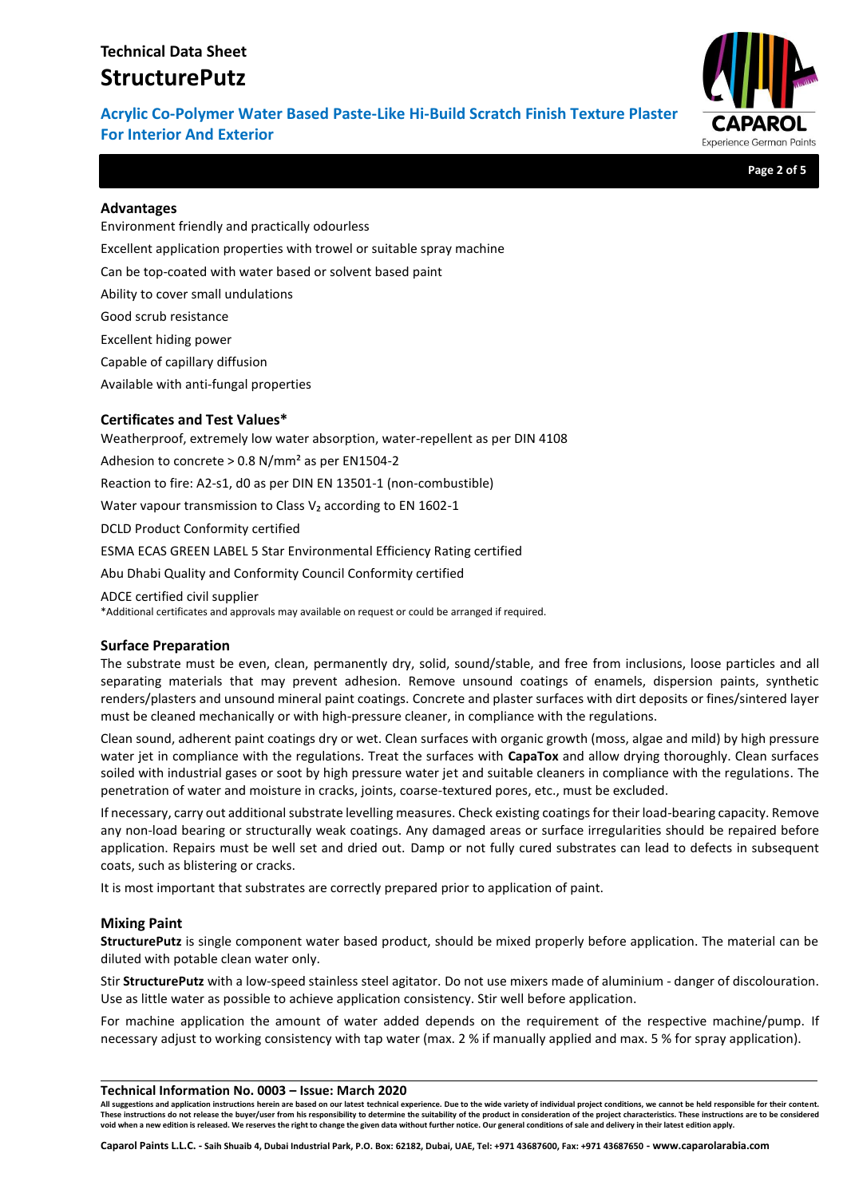**Acrylic Co-Polymer Water Based Paste-Like Hi-Build Scratch Finish Texture Plaster For Interior And Exterior**



**Page 2 of 5**

## **Advantages**

Environment friendly and practically odourless Excellent application properties with trowel or suitable spray machine Can be top-coated with water based or solvent based paint Ability to cover small undulations Good scrub resistance Excellent hiding power Capable of capillary diffusion Available with anti-fungal properties

# **Certificates and Test Values\***

Weatherproof, extremely low water absorption, water-repellent as per DIN 4108 Adhesion to concrete > 0.8 N/mm² as per EN1504-2 Reaction to fire: A2-s1, d0 as per DIN EN 13501-1 (non-combustible) Water vapour transmission to Class V<sub>2</sub> according to EN 1602-1 DCLD Product Conformity certified ESMA ECAS GREEN LABEL 5 Star Environmental Efficiency Rating certified Abu Dhabi Quality and Conformity Council Conformity certified ADCE certified civil supplier

\*Additional certificates and approvals may available on request or could be arranged if required.

## **Surface Preparation**

The substrate must be even, clean, permanently dry, solid, sound/stable, and free from inclusions, loose particles and all separating materials that may prevent adhesion. Remove unsound coatings of enamels, dispersion paints, synthetic renders/plasters and unsound mineral paint coatings. Concrete and plaster surfaces with dirt deposits or fines/sintered layer must be cleaned mechanically or with high-pressure cleaner, in compliance with the regulations.

Clean sound, adherent paint coatings dry or wet. Clean surfaces with organic growth (moss, algae and mild) by high pressure water jet in compliance with the regulations. Treat the surfaces with **CapaTox** and allow drying thoroughly. Clean surfaces soiled with industrial gases or soot by high pressure water jet and suitable cleaners in compliance with the regulations. The penetration of water and moisture in cracks, joints, coarse-textured pores, etc., must be excluded.

If necessary, carry out additional substrate levelling measures. Check existing coatings for their load-bearing capacity. Remove any non-load bearing or structurally weak coatings. Any damaged areas or surface irregularities should be repaired before application. Repairs must be well set and dried out. Damp or not fully cured substrates can lead to defects in subsequent coats, such as blistering or cracks.

It is most important that substrates are correctly prepared prior to application of paint.

## **Mixing Paint**

**StructurePutz** is single component water based product, should be mixed properly before application. The material can be diluted with potable clean water only.

Stir **StructurePutz** with a low-speed stainless steel agitator. Do not use mixers made of aluminium - danger of discolouration. Use as little water as possible to achieve application consistency. Stir well before application.

For machine application the amount of water added depends on the requirement of the respective machine/pump. If necessary adjust to working consistency with tap water (max. 2 % if manually applied and max. 5 % for spray application).

#### **Technical Information No. 0003 – Issue: March 2020**

**All suggestions and application instructions herein are based on our latest technical experience. Due to the wide variety of individual project conditions, we cannot be held responsible for their content.** These instructions do not release the buyer/user from his responsibility to determine the suitability of the product in consideration of the project characteristics. These instructions are to be considered **void when a new edition is released. We reserves the right to change the given data without further notice. Our general conditions of sale and delivery in their latest edition apply.**

**Caparol Paints L.L.C. - Saih Shuaib 4, Dubai Industrial Park, P.O. Box: 62182, Dubai, UAE, Tel: +971 43687600, Fax: +971 43687650 - www.caparolarabia.com**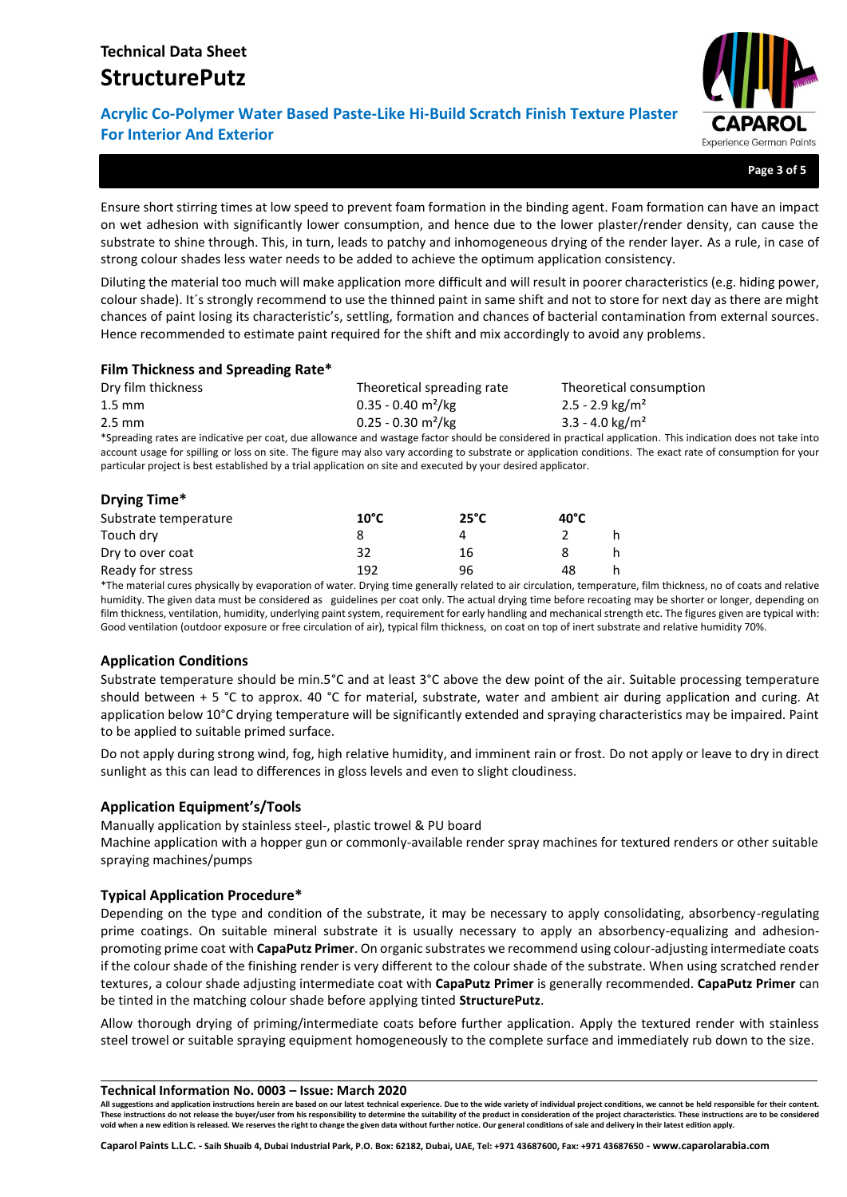# **Acrylic Co-Polymer Water Based Paste-Like Hi-Build Scratch Finish Texture Plaster For Interior And Exterior**



**Page 3 of 5**

Ensure short stirring times at low speed to prevent foam formation in the binding agent. Foam formation can have an impact on wet adhesion with significantly lower consumption, and hence due to the lower plaster/render density, can cause the substrate to shine through. This, in turn, leads to patchy and inhomogeneous drying of the render layer. As a rule, in case of strong colour shades less water needs to be added to achieve the optimum application consistency.

Diluting the material too much will make application more difficult and will result in poorer characteristics (e.g. hiding power, colour shade). It´s strongly recommend to use the thinned paint in same shift and not to store for next day as there are might chances of paint losing its characteristic's, settling, formation and chances of bacterial contamination from external sources. Hence recommended to estimate paint required for the shift and mix accordingly to avoid any problems.

# **Film Thickness and Spreading Rate\***

| Dry film thickness | Theoretical spreading rate       | Theoretical consumption       |
|--------------------|----------------------------------|-------------------------------|
| $1.5 \text{ mm}$   | $0.35 - 0.40$ m <sup>2</sup> /kg | 2.5 - 2.9 kg/m <sup>2</sup>   |
| 2.5 mm             | $0.25 - 0.30$ m <sup>2</sup> /kg | $3.3 - 4.0$ kg/m <sup>2</sup> |

\*Spreading rates are indicative per coat, due allowance and wastage factor should be considered in practical application. This indication does not take into account usage for spilling or loss on site. The figure may also vary according to substrate or application conditions. The exact rate of consumption for your particular project is best established by a trial application on site and executed by your desired applicator.

# **Drying Time\***

| Substrate temperature | $10^{\circ}$ C | $25^{\circ}$ C | $40^{\circ}$ C |  |
|-----------------------|----------------|----------------|----------------|--|
| Touch dry             |                |                |                |  |
| Dry to over coat      | 32             | 16             |                |  |
| Ready for stress      | 192            | 96             | 48             |  |

\*The material cures physically by evaporation of water. Drying time generally related to air circulation, temperature, film thickness, no of coats and relative humidity. The given data must be considered as guidelines per coat only. The actual drying time before recoating may be shorter or longer, depending on film thickness, ventilation, humidity, underlying paint system, requirement for early handling and mechanical strength etc. The figures given are typical with: Good ventilation (outdoor exposure or free circulation of air), typical film thickness, on coat on top of inert substrate and relative humidity 70%.

# **Application Conditions**

Substrate temperature should be min.5°C and at least 3°C above the dew point of the air. Suitable processing temperature should between + 5 °C to approx. 40 °C for material, substrate, water and ambient air during application and curing. At application below 10°C drying temperature will be significantly extended and spraying characteristics may be impaired. Paint to be applied to suitable primed surface.

Do not apply during strong wind, fog, high relative humidity, and imminent rain or frost. Do not apply or leave to dry in direct sunlight as this can lead to differences in gloss levels and even to slight cloudiness.

# **Application Equipment's/Tools**

Manually application by stainless steel-, plastic trowel & PU board

Machine application with a hopper gun or commonly-available render spray machines for textured renders or other suitable spraying machines/pumps

## **Typical Application Procedure\***

Depending on the type and condition of the substrate, it may be necessary to apply consolidating, absorbency-regulating prime coatings. On suitable mineral substrate it is usually necessary to apply an absorbency-equalizing and adhesionpromoting prime coat with **CapaPutz Primer**. On organic substrates we recommend using colour-adjusting intermediate coats if the colour shade of the finishing render is very different to the colour shade of the substrate. When using scratched render textures, a colour shade adjusting intermediate coat with **CapaPutz Primer** is generally recommended. **CapaPutz Primer** can be tinted in the matching colour shade before applying tinted **StructurePutz**.

Allow thorough drying of priming/intermediate coats before further application. Apply the textured render with stainless steel trowel or suitable spraying equipment homogeneously to the complete surface and immediately rub down to the size.

#### **Technical Information No. 0003 – Issue: March 2020**

**All suggestions and application instructions herein are based on our latest technical experience. Due to the wide variety of individual project conditions, we cannot be held responsible for their content.** These instructions do not release the buyer/user from his responsibility to determine the suitability of the product in consideration of the project characteristics. These instructions are to be considered **void when a new edition is released. We reserves the right to change the given data without further notice. Our general conditions of sale and delivery in their latest edition apply.**

**Caparol Paints L.L.C. - Saih Shuaib 4, Dubai Industrial Park, P.O. Box: 62182, Dubai, UAE, Tel: +971 43687600, Fax: +971 43687650 - www.caparolarabia.com**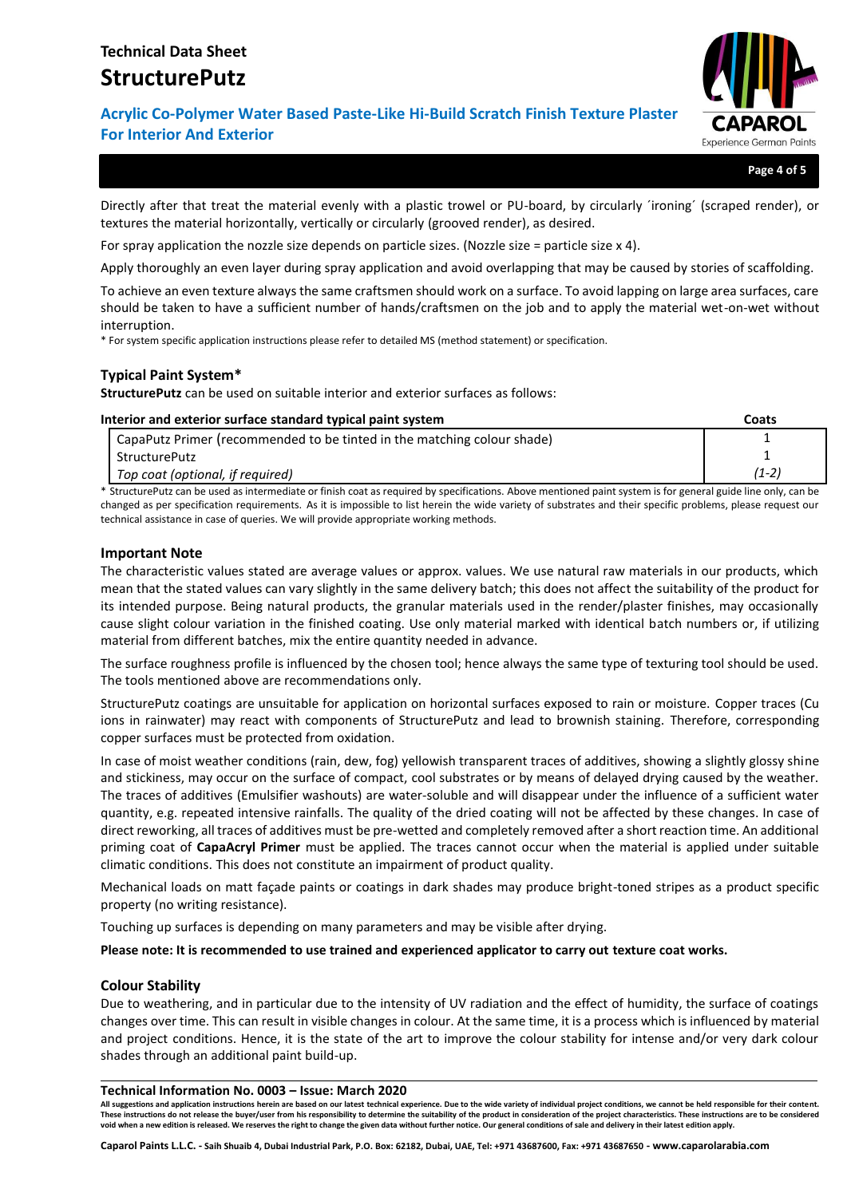**Acrylic Co-Polymer Water Based Paste-Like Hi-Build Scratch Finish Texture Plaster For Interior And Exterior**



**Page 4 of 5**

Directly after that treat the material evenly with a plastic trowel or PU-board, by circularly ´ironing´ (scraped render), or textures the material horizontally, vertically or circularly (grooved render), as desired.

For spray application the nozzle size depends on particle sizes. (Nozzle size = particle size x 4).

Apply thoroughly an even layer during spray application and avoid overlapping that may be caused by stories of scaffolding.

To achieve an even texture always the same craftsmen should work on a surface. To avoid lapping on large area surfaces, care should be taken to have a sufficient number of hands/craftsmen on the job and to apply the material wet-on-wet without interruption.

\* For system specific application instructions please refer to detailed MS (method statement) or specification.

## **Typical Paint System\***

**StructurePutz** can be used on suitable interior and exterior surfaces as follows:

### **Interior and exterior surface standard typical paint system Coats**

| CapaPutz Primer (recommended to be tinted in the matching colour shade) |       |
|-------------------------------------------------------------------------|-------|
| StructurePutz                                                           |       |
| Top coat (optional, if required)                                        | (1-2) |

\* StructurePutz can be used as intermediate or finish coat as required by specifications. Above mentioned paint system is for general guide line only, can be changed as per specification requirements. As it is impossible to list herein the wide variety of substrates and their specific problems, please request our technical assistance in case of queries. We will provide appropriate working methods.

### **Important Note**

The characteristic values stated are average values or approx. values. We use natural raw materials in our products, which mean that the stated values can vary slightly in the same delivery batch; this does not affect the suitability of the product for its intended purpose. Being natural products, the granular materials used in the render/plaster finishes, may occasionally cause slight colour variation in the finished coating. Use only material marked with identical batch numbers or, if utilizing material from different batches, mix the entire quantity needed in advance.

The surface roughness profile is influenced by the chosen tool; hence always the same type of texturing tool should be used. The tools mentioned above are recommendations only.

StructurePutz coatings are unsuitable for application on horizontal surfaces exposed to rain or moisture. Copper traces (Cu ions in rainwater) may react with components of StructurePutz and lead to brownish staining. Therefore, corresponding copper surfaces must be protected from oxidation.

In case of moist weather conditions (rain, dew, fog) yellowish transparent traces of additives, showing a slightly glossy shine and stickiness, may occur on the surface of compact, cool substrates or by means of delayed drying caused by the weather. The traces of additives (Emulsifier washouts) are water-soluble and will disappear under the influence of a sufficient water quantity, e.g. repeated intensive rainfalls. The quality of the dried coating will not be affected by these changes. In case of direct reworking, all traces of additives must be pre-wetted and completely removed after a short reaction time. An additional priming coat of **CapaAcryl Primer** must be applied. The traces cannot occur when the material is applied under suitable climatic conditions. This does not constitute an impairment of product quality.

Mechanical loads on matt façade paints or coatings in dark shades may produce bright-toned stripes as a product specific property (no writing resistance).

Touching up surfaces is depending on many parameters and may be visible after drying.

**Please note: It is recommended to use trained and experienced applicator to carry out texture coat works.**

### **Colour Stability**

Due to weathering, and in particular due to the intensity of UV radiation and the effect of humidity, the surface of coatings changes over time. This can result in visible changes in colour. At the same time, it is a process which is influenced by material and project conditions. Hence, it is the state of the art to improve the colour stability for intense and/or very dark colour shades through an additional paint build-up.

#### **Technical Information No. 0003 – Issue: March 2020**

**All suggestions and application instructions herein are based on our latest technical experience. Due to the wide variety of individual project conditions, we cannot be held responsible for their content.** These instructions do not release the buyer/user from his responsibility to determine the suitability of the product in consideration of the project characteristics. These instructions are to be considered **void when a new edition is released. We reserves the right to change the given data without further notice. Our general conditions of sale and delivery in their latest edition apply.**